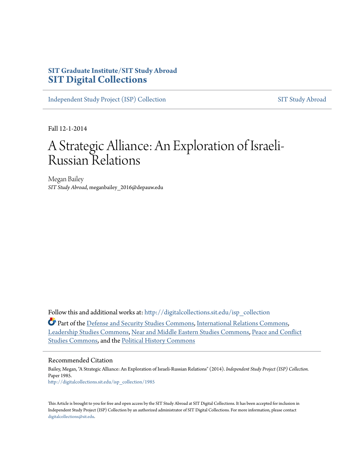## **SIT Graduate Institute/SIT Study Abroad [SIT Digital Collections](http://digitalcollections.sit.edu?utm_source=digitalcollections.sit.edu%2Fisp_collection%2F1985&utm_medium=PDF&utm_campaign=PDFCoverPages)**

[Independent Study Project \(ISP\) Collection](http://digitalcollections.sit.edu/isp_collection?utm_source=digitalcollections.sit.edu%2Fisp_collection%2F1985&utm_medium=PDF&utm_campaign=PDFCoverPages) [SIT Study Abroad](http://digitalcollections.sit.edu/study_abroad?utm_source=digitalcollections.sit.edu%2Fisp_collection%2F1985&utm_medium=PDF&utm_campaign=PDFCoverPages)

Fall 12-1-2014

# A Strategic Alliance: An Exploration of Israeli-Russian Relations

Megan Bailey *SIT Study Abroad*, meganbailey\_2016@depauw.edu

Follow this and additional works at: [http://digitalcollections.sit.edu/isp\\_collection](http://digitalcollections.sit.edu/isp_collection?utm_source=digitalcollections.sit.edu%2Fisp_collection%2F1985&utm_medium=PDF&utm_campaign=PDFCoverPages)

Part of the [Defense and Security Studies Commons](http://network.bepress.com/hgg/discipline/394?utm_source=digitalcollections.sit.edu%2Fisp_collection%2F1985&utm_medium=PDF&utm_campaign=PDFCoverPages), [International Relations Commons](http://network.bepress.com/hgg/discipline/389?utm_source=digitalcollections.sit.edu%2Fisp_collection%2F1985&utm_medium=PDF&utm_campaign=PDFCoverPages), [Leadership Studies Commons](http://network.bepress.com/hgg/discipline/1250?utm_source=digitalcollections.sit.edu%2Fisp_collection%2F1985&utm_medium=PDF&utm_campaign=PDFCoverPages), [Near and Middle Eastern Studies Commons](http://network.bepress.com/hgg/discipline/1308?utm_source=digitalcollections.sit.edu%2Fisp_collection%2F1985&utm_medium=PDF&utm_campaign=PDFCoverPages), [Peace and Conflict](http://network.bepress.com/hgg/discipline/397?utm_source=digitalcollections.sit.edu%2Fisp_collection%2F1985&utm_medium=PDF&utm_campaign=PDFCoverPages) [Studies Commons](http://network.bepress.com/hgg/discipline/397?utm_source=digitalcollections.sit.edu%2Fisp_collection%2F1985&utm_medium=PDF&utm_campaign=PDFCoverPages), and the [Political History Commons](http://network.bepress.com/hgg/discipline/505?utm_source=digitalcollections.sit.edu%2Fisp_collection%2F1985&utm_medium=PDF&utm_campaign=PDFCoverPages)

#### Recommended Citation

Bailey, Megan, "A Strategic Alliance: An Exploration of Israeli-Russian Relations" (2014). *Independent Study Project (ISP) Collection.* Paper 1985. [http://digitalcollections.sit.edu/isp\\_collection/1985](http://digitalcollections.sit.edu/isp_collection/1985?utm_source=digitalcollections.sit.edu%2Fisp_collection%2F1985&utm_medium=PDF&utm_campaign=PDFCoverPages)

This Article is brought to you for free and open access by the SIT Study Abroad at SIT Digital Collections. It has been accepted for inclusion in Independent Study Project (ISP) Collection by an authorized administrator of SIT Digital Collections. For more information, please contact [digitalcollections@sit.edu.](mailto:digitalcollections@sit.edu)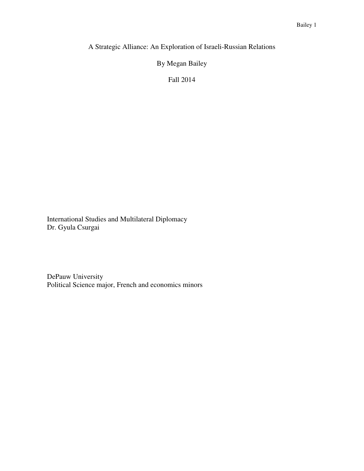A Strategic Alliance: An Exploration of Israeli-Russian Relations

By Megan Bailey

Fall 2014

International Studies and Multilateral Diplomacy Dr. Gyula Csurgai

DePauw University Political Science major, French and economics minors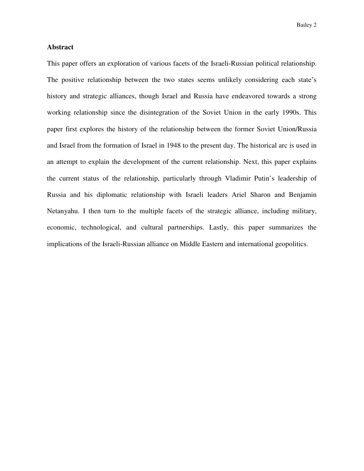#### **Abstract**

This paper offers an exploration of various facets of the Israeli-Russian political relationship. The positive relationship between the two states seems unlikely considering each state's history and strategic alliances, though Israel and Russia have endeavored towards a strong working relationship since the disintegration of the Soviet Union in the early 1990s. This paper first explores the history of the relationship between the former Soviet Union/Russia and Israel from the formation of Israel in 1948 to the present day. The historical arc is used in an attempt to explain the development of the current relationship. Next, this paper explains the current status of the relationship, particularly through Vladimir Putin's leadership of Russia and his diplomatic relationship with Israeli leaders Ariel Sharon and Benjamin Netanyahu. I then turn to the multiple facets of the strategic alliance, including military, economic, technological, and cultural partnerships. Lastly, this paper summarizes the implications of the Israeli-Russian alliance on Middle Eastern and international geopolitics.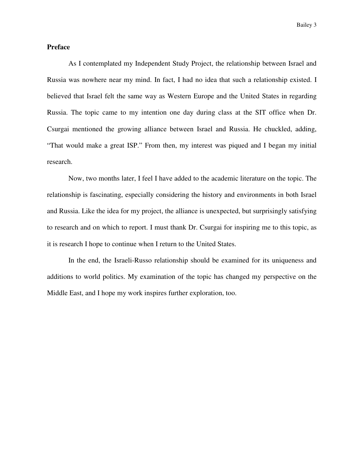### **Preface**

As I contemplated my Independent Study Project, the relationship between Israel and Russia was nowhere near my mind. In fact, I had no idea that such a relationship existed. I believed that Israel felt the same way as Western Europe and the United States in regarding Russia. The topic came to my intention one day during class at the SIT office when Dr. Csurgai mentioned the growing alliance between Israel and Russia. He chuckled, adding, "That would make a great ISP." From then, my interest was piqued and I began my initial research.

Now, two months later, I feel I have added to the academic literature on the topic. The relationship is fascinating, especially considering the history and environments in both Israel and Russia. Like the idea for my project, the alliance is unexpected, but surprisingly satisfying to research and on which to report. I must thank Dr. Csurgai for inspiring me to this topic, as it is research I hope to continue when I return to the United States.

In the end, the Israeli-Russo relationship should be examined for its uniqueness and additions to world politics. My examination of the topic has changed my perspective on the Middle East, and I hope my work inspires further exploration, too.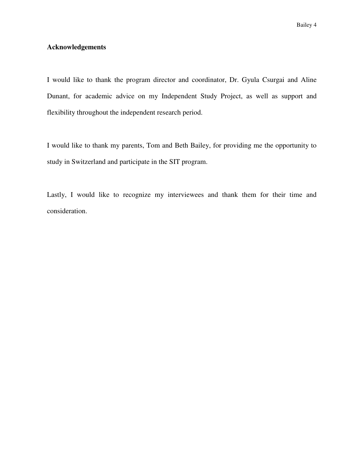#### **Acknowledgements**

I would like to thank the program director and coordinator, Dr. Gyula Csurgai and Aline Dunant, for academic advice on my Independent Study Project, as well as support and flexibility throughout the independent research period.

I would like to thank my parents, Tom and Beth Bailey, for providing me the opportunity to study in Switzerland and participate in the SIT program.

Lastly, I would like to recognize my interviewees and thank them for their time and consideration.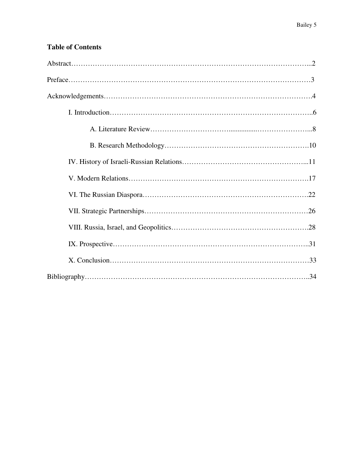## **Table of Contents**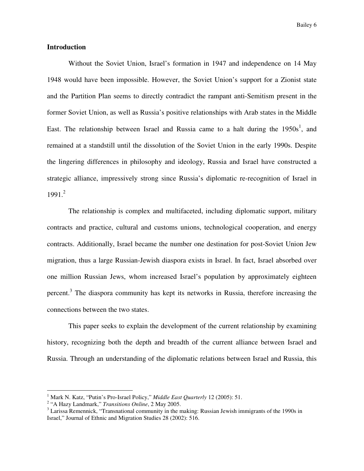#### **Introduction**

 Without the Soviet Union, Israel's formation in 1947 and independence on 14 May 1948 would have been impossible. However, the Soviet Union's support for a Zionist state and the Partition Plan seems to directly contradict the rampant anti-Semitism present in the former Soviet Union, as well as Russia's positive relationships with Arab states in the Middle East. The relationship between Israel and Russia came to a halt during the  $1950s<sup>1</sup>$ , and remained at a standstill until the dissolution of the Soviet Union in the early 1990s. Despite the lingering differences in philosophy and ideology, Russia and Israel have constructed a strategic alliance, impressively strong since Russia's diplomatic re-recognition of Israel in  $1991<sup>2</sup>$ 

 The relationship is complex and multifaceted, including diplomatic support, military contracts and practice, cultural and customs unions, technological cooperation, and energy contracts. Additionally, Israel became the number one destination for post-Soviet Union Jew migration, thus a large Russian-Jewish diaspora exists in Israel. In fact, Israel absorbed over one million Russian Jews, whom increased Israel's population by approximately eighteen percent.<sup>3</sup> The diaspora community has kept its networks in Russia, therefore increasing the connections between the two states.

 This paper seeks to explain the development of the current relationship by examining history, recognizing both the depth and breadth of the current alliance between Israel and Russia. Through an understanding of the diplomatic relations between Israel and Russia, this

<sup>&</sup>lt;sup>1</sup> Mark N. Katz, "Putin's Pro-Israel Policy," *Middle East Quarterly* 12 (2005): 51.

<sup>2</sup> "A Hazy Landmark," *Transitions Online*, 2 May 2005.

 $3$  Larissa Remennick, "Transnational community in the making: Russian Jewish immigrants of the 1990s in Israel," Journal of Ethnic and Migration Studies 28 (2002): 516.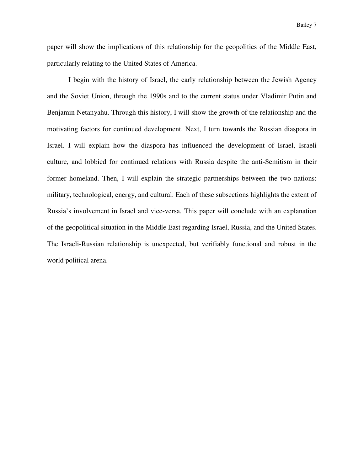paper will show the implications of this relationship for the geopolitics of the Middle East, particularly relating to the United States of America.

 I begin with the history of Israel, the early relationship between the Jewish Agency and the Soviet Union, through the 1990s and to the current status under Vladimir Putin and Benjamin Netanyahu. Through this history, I will show the growth of the relationship and the motivating factors for continued development. Next, I turn towards the Russian diaspora in Israel. I will explain how the diaspora has influenced the development of Israel, Israeli culture, and lobbied for continued relations with Russia despite the anti-Semitism in their former homeland. Then, I will explain the strategic partnerships between the two nations: military, technological, energy, and cultural. Each of these subsections highlights the extent of Russia's involvement in Israel and vice-versa. This paper will conclude with an explanation of the geopolitical situation in the Middle East regarding Israel, Russia, and the United States. The Israeli-Russian relationship is unexpected, but verifiably functional and robust in the world political arena.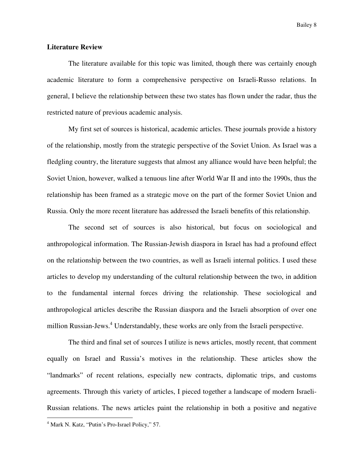#### **Literature Review**

The literature available for this topic was limited, though there was certainly enough academic literature to form a comprehensive perspective on Israeli-Russo relations. In general, I believe the relationship between these two states has flown under the radar, thus the restricted nature of previous academic analysis.

My first set of sources is historical, academic articles. These journals provide a history of the relationship, mostly from the strategic perspective of the Soviet Union. As Israel was a fledgling country, the literature suggests that almost any alliance would have been helpful; the Soviet Union, however, walked a tenuous line after World War II and into the 1990s, thus the relationship has been framed as a strategic move on the part of the former Soviet Union and Russia. Only the more recent literature has addressed the Israeli benefits of this relationship.

The second set of sources is also historical, but focus on sociological and anthropological information. The Russian-Jewish diaspora in Israel has had a profound effect on the relationship between the two countries, as well as Israeli internal politics. I used these articles to develop my understanding of the cultural relationship between the two, in addition to the fundamental internal forces driving the relationship. These sociological and anthropological articles describe the Russian diaspora and the Israeli absorption of over one million Russian-Jews.<sup>4</sup> Understandably, these works are only from the Israeli perspective.

The third and final set of sources I utilize is news articles, mostly recent, that comment equally on Israel and Russia's motives in the relationship. These articles show the "landmarks" of recent relations, especially new contracts, diplomatic trips, and customs agreements. Through this variety of articles, I pieced together a landscape of modern Israeli-Russian relations. The news articles paint the relationship in both a positive and negative

<sup>&</sup>lt;sup>4</sup> Mark N. Katz, "Putin's Pro-Israel Policy," 57.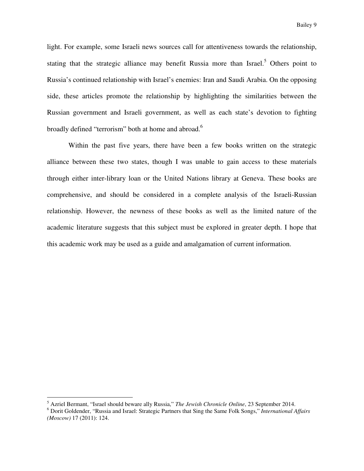light. For example, some Israeli news sources call for attentiveness towards the relationship, stating that the strategic alliance may benefit Russia more than Israel.<sup>5</sup> Others point to Russia's continued relationship with Israel's enemies: Iran and Saudi Arabia. On the opposing side, these articles promote the relationship by highlighting the similarities between the Russian government and Israeli government, as well as each state's devotion to fighting broadly defined "terrorism" both at home and abroad.<sup>6</sup>

Within the past five years, there have been a few books written on the strategic alliance between these two states, though I was unable to gain access to these materials through either inter-library loan or the United Nations library at Geneva. These books are comprehensive, and should be considered in a complete analysis of the Israeli-Russian relationship. However, the newness of these books as well as the limited nature of the academic literature suggests that this subject must be explored in greater depth. I hope that this academic work may be used as a guide and amalgamation of current information.

<sup>5</sup> Azriel Bermant, "Israel should beware ally Russia," *The Jewish Chronicle Online*, 23 September 2014.

<sup>6</sup> Dorit Goldender, "Russia and Israel: Strategic Partners that Sing the Same Folk Songs," *International Affairs (Moscow)* 17 (2011): 124.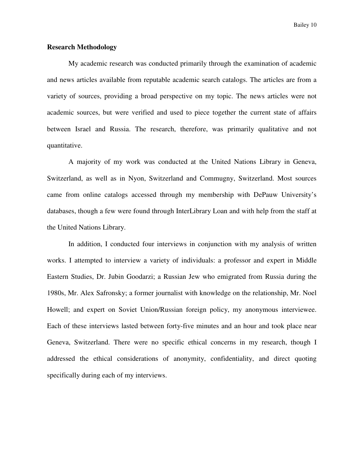Bailey 10

#### **Research Methodology**

My academic research was conducted primarily through the examination of academic and news articles available from reputable academic search catalogs. The articles are from a variety of sources, providing a broad perspective on my topic. The news articles were not academic sources, but were verified and used to piece together the current state of affairs between Israel and Russia. The research, therefore, was primarily qualitative and not quantitative.

 A majority of my work was conducted at the United Nations Library in Geneva, Switzerland, as well as in Nyon, Switzerland and Commugny, Switzerland. Most sources came from online catalogs accessed through my membership with DePauw University's databases, though a few were found through InterLibrary Loan and with help from the staff at the United Nations Library.

 In addition, I conducted four interviews in conjunction with my analysis of written works. I attempted to interview a variety of individuals: a professor and expert in Middle Eastern Studies, Dr. Jubin Goodarzi; a Russian Jew who emigrated from Russia during the 1980s, Mr. Alex Safronsky; a former journalist with knowledge on the relationship, Mr. Noel Howell; and expert on Soviet Union/Russian foreign policy, my anonymous interviewee. Each of these interviews lasted between forty-five minutes and an hour and took place near Geneva, Switzerland. There were no specific ethical concerns in my research, though I addressed the ethical considerations of anonymity, confidentiality, and direct quoting specifically during each of my interviews.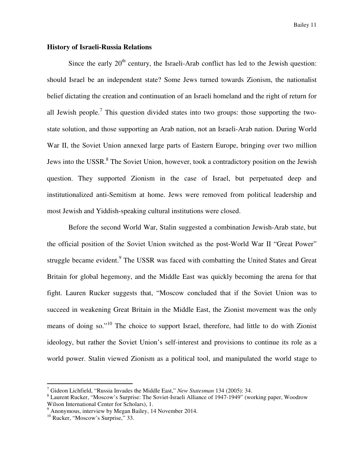Bailey 11

#### **History of Israeli-Russia Relations**

Since the early  $20<sup>th</sup>$  century, the Israeli-Arab conflict has led to the Jewish question: should Israel be an independent state? Some Jews turned towards Zionism, the nationalist belief dictating the creation and continuation of an Israeli homeland and the right of return for all Jewish people.<sup>7</sup> This question divided states into two groups: those supporting the twostate solution, and those supporting an Arab nation, not an Israeli-Arab nation. During World War II, the Soviet Union annexed large parts of Eastern Europe, bringing over two million Jews into the USSR.<sup>8</sup> The Soviet Union, however, took a contradictory position on the Jewish question. They supported Zionism in the case of Israel, but perpetuated deep and institutionalized anti-Semitism at home. Jews were removed from political leadership and most Jewish and Yiddish-speaking cultural institutions were closed.

Before the second World War, Stalin suggested a combination Jewish-Arab state, but the official position of the Soviet Union switched as the post-World War II "Great Power" struggle became evident.<sup>9</sup> The USSR was faced with combatting the United States and Great Britain for global hegemony, and the Middle East was quickly becoming the arena for that fight. Lauren Rucker suggests that, "Moscow concluded that if the Soviet Union was to succeed in weakening Great Britain in the Middle East, the Zionist movement was the only means of doing so."<sup>10</sup> The choice to support Israel, therefore, had little to do with Zionist ideology, but rather the Soviet Union's self-interest and provisions to continue its role as a world power. Stalin viewed Zionism as a political tool, and manipulated the world stage to

<sup>7</sup> Gideon Lichfield, "Russia Invades the Middle East," *New Statesman* 134 (2005): 34.

<sup>&</sup>lt;sup>8</sup> Laurent Rucker, "Moscow's Surprise: The Soviet-Israeli Alliance of 1947-1949" (working paper, Woodrow Wilson International Center for Scholars), 1.

<sup>&</sup>lt;sup>9</sup> Anonymous, interview by Megan Bailey, 14 November 2014.

 $10^{10}$  Rucker, "Moscow's Surprise," 33.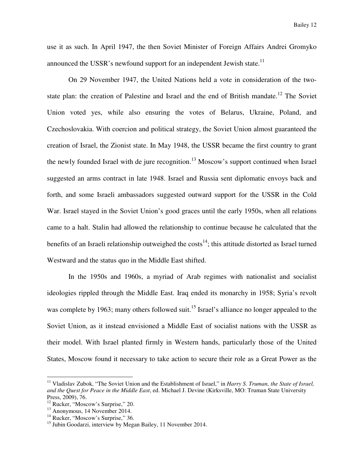use it as such. In April 1947, the then Soviet Minister of Foreign Affairs Andrei Gromyko announced the USSR's newfound support for an independent Jewish state.<sup>11</sup>

On 29 November 1947, the United Nations held a vote in consideration of the twostate plan: the creation of Palestine and Israel and the end of British mandate.<sup>12</sup> The Soviet Union voted yes, while also ensuring the votes of Belarus, Ukraine, Poland, and Czechoslovakia. With coercion and political strategy, the Soviet Union almost guaranteed the creation of Israel, the Zionist state. In May 1948, the USSR became the first country to grant the newly founded Israel with de jure recognition.<sup>13</sup> Moscow's support continued when Israel suggested an arms contract in late 1948. Israel and Russia sent diplomatic envoys back and forth, and some Israeli ambassadors suggested outward support for the USSR in the Cold War. Israel stayed in the Soviet Union's good graces until the early 1950s, when all relations came to a halt. Stalin had allowed the relationship to continue because he calculated that the benefits of an Israeli relationship outweighed the  $costs<sup>14</sup>$ ; this attitude distorted as Israel turned Westward and the status quo in the Middle East shifted.

In the 1950s and 1960s, a myriad of Arab regimes with nationalist and socialist ideologies rippled through the Middle East. Iraq ended its monarchy in 1958; Syria's revolt was complete by 1963; many others followed suit.<sup>15</sup> Israel's alliance no longer appealed to the Soviet Union, as it instead envisioned a Middle East of socialist nations with the USSR as their model. With Israel planted firmly in Western hands, particularly those of the United States, Moscow found it necessary to take action to secure their role as a Great Power as the

<sup>&</sup>lt;sup>11</sup> Vladislav Zubok, "The Soviet Union and the Establishment of Israel," in *Harry S. Truman, the State of Israel, and the Quest for Peace in the Middle East*, ed. Michael J. Devine (Kirksville, MO: Truman State University Press, 2009), 76.

<sup>&</sup>lt;sup>12</sup> Rucker, "Moscow's Surprise," 20.

<sup>13</sup> Anonymous, 14 November 2014.

<sup>&</sup>lt;sup>14</sup> Rucker, "Moscow's Surprise," 36.

<sup>&</sup>lt;sup>15</sup> Jubin Goodarzi, interview by Megan Bailey, 11 November 2014.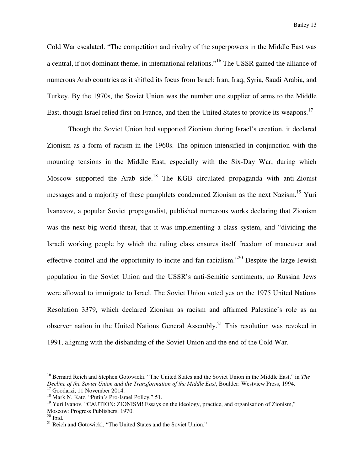Cold War escalated. "The competition and rivalry of the superpowers in the Middle East was a central, if not dominant theme, in international relations."<sup>16</sup> The USSR gained the alliance of numerous Arab countries as it shifted its focus from Israel: Iran, Iraq, Syria, Saudi Arabia, and Turkey. By the 1970s, the Soviet Union was the number one supplier of arms to the Middle East, though Israel relied first on France, and then the United States to provide its weapons.<sup>17</sup>

Though the Soviet Union had supported Zionism during Israel's creation, it declared Zionism as a form of racism in the 1960s. The opinion intensified in conjunction with the mounting tensions in the Middle East, especially with the Six-Day War, during which Moscow supported the Arab side.<sup>18</sup> The KGB circulated propaganda with anti-Zionist messages and a majority of these pamphlets condemned Zionism as the next Nazism.<sup>19</sup> Yuri Ivanavov, a popular Soviet propagandist, published numerous works declaring that Zionism was the next big world threat, that it was implementing a class system, and "dividing the Israeli working people by which the ruling class ensures itself freedom of maneuver and effective control and the opportunity to incite and fan racialism."<sup>20</sup> Despite the large Jewish population in the Soviet Union and the USSR's anti-Semitic sentiments, no Russian Jews were allowed to immigrate to Israel. The Soviet Union voted yes on the 1975 United Nations Resolution 3379, which declared Zionism as racism and affirmed Palestine's role as an observer nation in the United Nations General Assembly.<sup>21</sup> This resolution was revoked in 1991, aligning with the disbanding of the Soviet Union and the end of the Cold War.

<sup>16</sup> Bernard Reich and Stephen Gotowicki. "The United States and the Soviet Union in the Middle East," in *The Decline of the Soviet Union and the Transformation of the Middle East*, Boulder: Westview Press, 1994.

<sup>&</sup>lt;sup>17</sup> Goodarzi, 11 November 2014.

<sup>18</sup> Mark N. Katz, "Putin's Pro-Israel Policy," 51.

<sup>&</sup>lt;sup>19</sup> Yuri Ivanov, "CAUTION: ZIONISM! Essays on the ideology, practice, and organisation of Zionism," Moscow: Progress Publishers, 1970.

 $20$  Ibid.

<sup>&</sup>lt;sup>21</sup> Reich and Gotowicki, "The United States and the Soviet Union."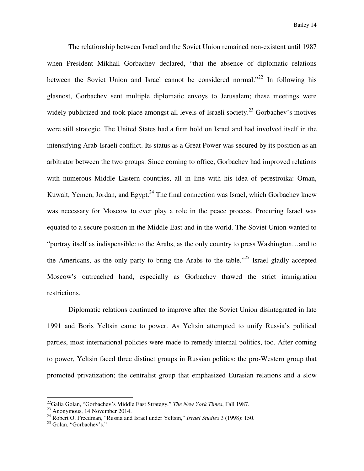The relationship between Israel and the Soviet Union remained non-existent until 1987 when President Mikhail Gorbachev declared, "that the absence of diplomatic relations between the Soviet Union and Israel cannot be considered normal.<sup> $22$ </sup> In following his glasnost, Gorbachev sent multiple diplomatic envoys to Jerusalem; these meetings were widely publicized and took place amongst all levels of Israeli society.<sup>23</sup> Gorbachev's motives were still strategic. The United States had a firm hold on Israel and had involved itself in the intensifying Arab-Israeli conflict. Its status as a Great Power was secured by its position as an arbitrator between the two groups. Since coming to office, Gorbachev had improved relations with numerous Middle Eastern countries, all in line with his idea of perestroika: Oman, Kuwait, Yemen, Jordan, and Egypt. $^{24}$  The final connection was Israel, which Gorbachev knew was necessary for Moscow to ever play a role in the peace process. Procuring Israel was equated to a secure position in the Middle East and in the world. The Soviet Union wanted to "portray itself as indispensible: to the Arabs, as the only country to press Washington…and to the Americans, as the only party to bring the Arabs to the table.<sup> $25$ </sup> Israel gladly accepted Moscow's outreached hand, especially as Gorbachev thawed the strict immigration restrictions.

Diplomatic relations continued to improve after the Soviet Union disintegrated in late 1991 and Boris Yeltsin came to power. As Yeltsin attempted to unify Russia's political parties, most international policies were made to remedy internal politics, too. After coming to power, Yeltsin faced three distinct groups in Russian politics: the pro-Western group that promoted privatization; the centralist group that emphasized Eurasian relations and a slow

<sup>22</sup>Galia Golan, "Gorbachev's Middle East Strategy," *The New York Times*, Fall 1987.

 $^{23}$  Anonymous, 14 November 2014.

<sup>24</sup> Robert O. Freedman, "Russia and Israel under Yeltsin," *Israel Studies* 3 (1998): 150.

<sup>&</sup>lt;sup>25</sup> Golan, "Gorbachev's."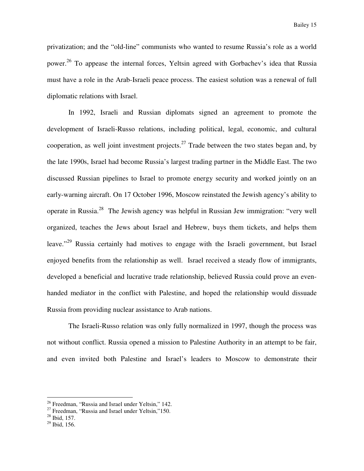privatization; and the "old-line" communists who wanted to resume Russia's role as a world power.<sup>26</sup> To appease the internal forces, Yeltsin agreed with Gorbachev's idea that Russia must have a role in the Arab-Israeli peace process. The easiest solution was a renewal of full diplomatic relations with Israel.

In 1992, Israeli and Russian diplomats signed an agreement to promote the development of Israeli-Russo relations, including political, legal, economic, and cultural cooperation, as well joint investment projects.<sup>27</sup> Trade between the two states began and, by the late 1990s, Israel had become Russia's largest trading partner in the Middle East. The two discussed Russian pipelines to Israel to promote energy security and worked jointly on an early-warning aircraft. On 17 October 1996, Moscow reinstated the Jewish agency's ability to operate in Russia.<sup>28</sup> The Jewish agency was helpful in Russian Jew immigration: "very well organized, teaches the Jews about Israel and Hebrew, buys them tickets, and helps them leave."<sup>29</sup> Russia certainly had motives to engage with the Israeli government, but Israel enjoyed benefits from the relationship as well. Israel received a steady flow of immigrants, developed a beneficial and lucrative trade relationship, believed Russia could prove an evenhanded mediator in the conflict with Palestine, and hoped the relationship would dissuade Russia from providing nuclear assistance to Arab nations.

The Israeli-Russo relation was only fully normalized in 1997, though the process was not without conflict. Russia opened a mission to Palestine Authority in an attempt to be fair, and even invited both Palestine and Israel's leaders to Moscow to demonstrate their

<sup>&</sup>lt;sup>26</sup> Freedman, "Russia and Israel under Yeltsin," 142.

 $27$  Freedman, "Russia and Israel under Yeltsin,"150.

 $28$  Ibid, 157.

<sup>29</sup> Ibid, 156.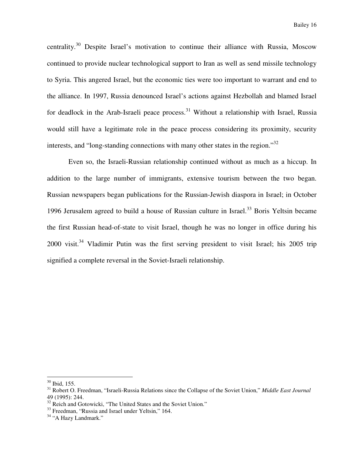centrality.<sup>30</sup> Despite Israel's motivation to continue their alliance with Russia, Moscow continued to provide nuclear technological support to Iran as well as send missile technology to Syria. This angered Israel, but the economic ties were too important to warrant and end to the alliance. In 1997, Russia denounced Israel's actions against Hezbollah and blamed Israel for deadlock in the Arab-Israeli peace process.<sup>31</sup> Without a relationship with Israel, Russia would still have a legitimate role in the peace process considering its proximity, security interests, and "long-standing connections with many other states in the region."<sup>32</sup>

Even so, the Israeli-Russian relationship continued without as much as a hiccup. In addition to the large number of immigrants, extensive tourism between the two began. Russian newspapers began publications for the Russian-Jewish diaspora in Israel; in October 1996 Jerusalem agreed to build a house of Russian culture in Israel.<sup>33</sup> Boris Yeltsin became the first Russian head-of-state to visit Israel, though he was no longer in office during his  $2000$  visit.<sup>34</sup> Vladimir Putin was the first serving president to visit Israel; his  $2005$  trip signified a complete reversal in the Soviet-Israeli relationship.

 $30$  Ibid, 155.

<sup>31</sup> Robert O. Freedman, "Israeli-Russia Relations since the Collapse of the Soviet Union," *Middle East Journal*  49 (1995): 244.

<sup>&</sup>lt;sup>32</sup> Reich and Gotowicki, "The United States and the Soviet Union."

<sup>&</sup>lt;sup>33</sup> Freedman, "Russia and Israel under Yeltsin," 164.

 $34$  "A Hazy Landmark."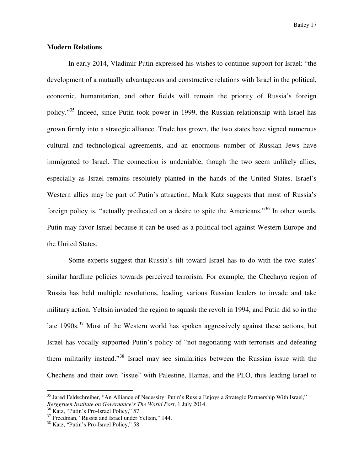#### **Modern Relations**

 In early 2014, Vladimir Putin expressed his wishes to continue support for Israel: "the development of a mutually advantageous and constructive relations with Israel in the political, economic, humanitarian, and other fields will remain the priority of Russia's foreign policy."<sup>35</sup> Indeed, since Putin took power in 1999, the Russian relationship with Israel has grown firmly into a strategic alliance. Trade has grown, the two states have signed numerous cultural and technological agreements, and an enormous number of Russian Jews have immigrated to Israel. The connection is undeniable, though the two seem unlikely allies, especially as Israel remains resolutely planted in the hands of the United States. Israel's Western allies may be part of Putin's attraction; Mark Katz suggests that most of Russia's foreign policy is, "actually predicated on a desire to spite the Americans."<sup>36</sup> In other words, Putin may favor Israel because it can be used as a political tool against Western Europe and the United States.

 Some experts suggest that Russia's tilt toward Israel has to do with the two states' similar hardline policies towards perceived terrorism. For example, the Chechnya region of Russia has held multiple revolutions, leading various Russian leaders to invade and take military action. Yeltsin invaded the region to squash the revolt in 1994, and Putin did so in the late 1990s.<sup>37</sup> Most of the Western world has spoken aggressively against these actions, but Israel has vocally supported Putin's policy of "not negotiating with terrorists and defeating them militarily instead."<sup>38</sup> Israel may see similarities between the Russian issue with the Chechens and their own "issue" with Palestine, Hamas, and the PLO, thus leading Israel to

<sup>&</sup>lt;sup>35</sup> Jared Feldschreiber, "An Alliance of Necessity: Putin's Russia Enjoys a Strategic Partnership With Israel," *Berggruen Institute on Governance's The World Post*, 1 July 2014.

<sup>&</sup>lt;sup>36</sup> Katz, "Putin's Pro-Israel Policy," 57.

<sup>&</sup>lt;sup>37</sup> Freedman, "Russia and Israel under Yeltsin," 144.

<sup>38</sup> Katz, "Putin's Pro-Israel Policy," 58.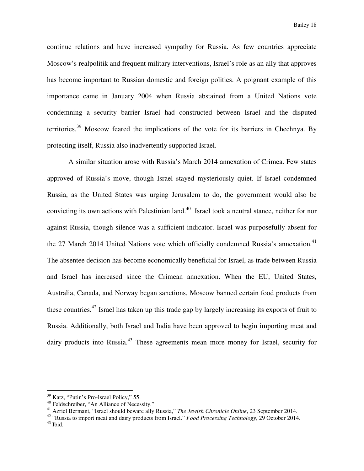continue relations and have increased sympathy for Russia. As few countries appreciate Moscow's realpolitik and frequent military interventions, Israel's role as an ally that approves has become important to Russian domestic and foreign politics. A poignant example of this importance came in January 2004 when Russia abstained from a United Nations vote condemning a security barrier Israel had constructed between Israel and the disputed territories.<sup>39</sup> Moscow feared the implications of the vote for its barriers in Chechnya. By protecting itself, Russia also inadvertently supported Israel.

 A similar situation arose with Russia's March 2014 annexation of Crimea. Few states approved of Russia's move, though Israel stayed mysteriously quiet. If Israel condemned Russia, as the United States was urging Jerusalem to do, the government would also be convicting its own actions with Palestinian land.<sup>40</sup> Israel took a neutral stance, neither for nor against Russia, though silence was a sufficient indicator. Israel was purposefully absent for the 27 March 2014 United Nations vote which officially condemned Russia's annexation.<sup>41</sup> The absentee decision has become economically beneficial for Israel, as trade between Russia and Israel has increased since the Crimean annexation. When the EU, United States, Australia, Canada, and Norway began sanctions, Moscow banned certain food products from these countries.<sup>42</sup> Israel has taken up this trade gap by largely increasing its exports of fruit to Russia. Additionally, both Israel and India have been approved to begin importing meat and dairy products into Russia.<sup>43</sup> These agreements mean more money for Israel, security for

<sup>&</sup>lt;sup>39</sup> Katz, "Putin's Pro-Israel Policy," 55.

<sup>40</sup> Feldschreiber, "An Alliance of Necessity."

<sup>41</sup> Azriel Bermant, "Israel should beware ally Russia," *The Jewish Chronicle Online*, 23 September 2014.

<sup>42</sup> "Russia to import meat and dairy products from Israel." *Food Processing Technology*, 29 October 2014.

 $^{43}$  Ibid.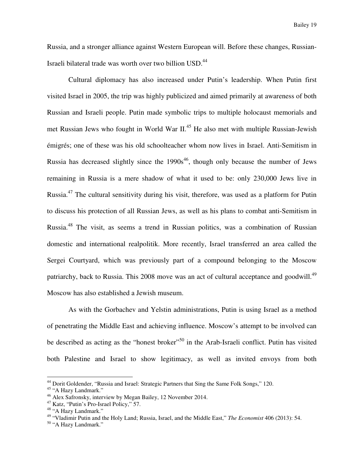Russia, and a stronger alliance against Western European will. Before these changes, Russian-Israeli bilateral trade was worth over two billion USD.<sup>44</sup>

 Cultural diplomacy has also increased under Putin's leadership. When Putin first visited Israel in 2005, the trip was highly publicized and aimed primarily at awareness of both Russian and Israeli people. Putin made symbolic trips to multiple holocaust memorials and met Russian Jews who fought in World War II.<sup>45</sup> He also met with multiple Russian-Jewish émigrés; one of these was his old schoolteacher whom now lives in Israel. Anti-Semitism in Russia has decreased slightly since the  $1990s<sup>46</sup>$ , though only because the number of Jews remaining in Russia is a mere shadow of what it used to be: only 230,000 Jews live in Russia.<sup>47</sup> The cultural sensitivity during his visit, therefore, was used as a platform for Putin to discuss his protection of all Russian Jews, as well as his plans to combat anti-Semitism in Russia.<sup>48</sup> The visit, as seems a trend in Russian politics, was a combination of Russian domestic and international realpolitik. More recently, Israel transferred an area called the Sergei Courtyard, which was previously part of a compound belonging to the Moscow patriarchy, back to Russia. This 2008 move was an act of cultural acceptance and goodwill.<sup>49</sup> Moscow has also established a Jewish museum.

As with the Gorbachev and Yelstin administrations, Putin is using Israel as a method of penetrating the Middle East and achieving influence. Moscow's attempt to be involved can be described as acting as the "honest broker"<sup>50</sup> in the Arab-Israeli conflict. Putin has visited both Palestine and Israel to show legitimacy, as well as invited envoys from both

<sup>&</sup>lt;sup>44</sup> Dorit Goldender, "Russia and Israel: Strategic Partners that Sing the Same Folk Songs," 120.

<sup>&</sup>lt;sup>45</sup> "A Hazy Landmark."

<sup>46</sup> Alex Safronsky, interview by Megan Bailey, 12 November 2014.

<sup>47</sup> Katz, "Putin's Pro-Israel Policy," 57.

<sup>48</sup> "A Hazy Landmark."

<sup>49</sup> "Vladimir Putin and the Holy Land; Russia, Israel, and the Middle East," *The Economist* 406 (2013): 54.

<sup>50</sup> "A Hazy Landmark."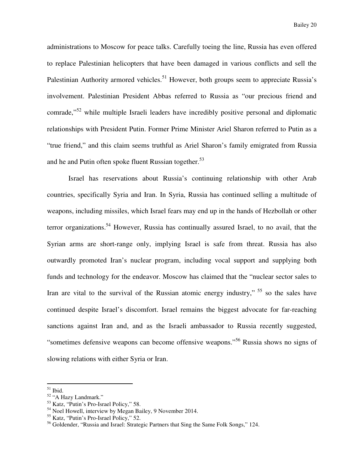administrations to Moscow for peace talks. Carefully toeing the line, Russia has even offered to replace Palestinian helicopters that have been damaged in various conflicts and sell the Palestinian Authority armored vehicles.<sup>51</sup> However, both groups seem to appreciate Russia's involvement. Palestinian President Abbas referred to Russia as "our precious friend and comrade,"<sup>52</sup> while multiple Israeli leaders have incredibly positive personal and diplomatic relationships with President Putin. Former Prime Minister Ariel Sharon referred to Putin as a "true friend," and this claim seems truthful as Ariel Sharon's family emigrated from Russia and he and Putin often spoke fluent Russian together.<sup>53</sup>

 Israel has reservations about Russia's continuing relationship with other Arab countries, specifically Syria and Iran. In Syria, Russia has continued selling a multitude of weapons, including missiles, which Israel fears may end up in the hands of Hezbollah or other terror organizations.<sup>54</sup> However, Russia has continually assured Israel, to no avail, that the Syrian arms are short-range only, implying Israel is safe from threat. Russia has also outwardly promoted Iran's nuclear program, including vocal support and supplying both funds and technology for the endeavor. Moscow has claimed that the "nuclear sector sales to Iran are vital to the survival of the Russian atomic energy industry,"  $55$  so the sales have continued despite Israel's discomfort. Israel remains the biggest advocate for far-reaching sanctions against Iran and, and as the Israeli ambassador to Russia recently suggested, "sometimes defensive weapons can become offensive weapons."<sup>56</sup> Russia shows no signs of slowing relations with either Syria or Iran.

 $\overline{a}$ <sup>51</sup> Ibid.

<sup>52</sup> "A Hazy Landmark."

<sup>53</sup> Katz, "Putin's Pro-Israel Policy," 58.

<sup>54</sup> Noel Howell, interview by Megan Bailey, 9 November 2014.

<sup>55</sup> Katz, "Putin's Pro-Israel Policy," 52.

<sup>&</sup>lt;sup>56</sup> Goldender, "Russia and Israel: Strategic Partners that Sing the Same Folk Songs," 124.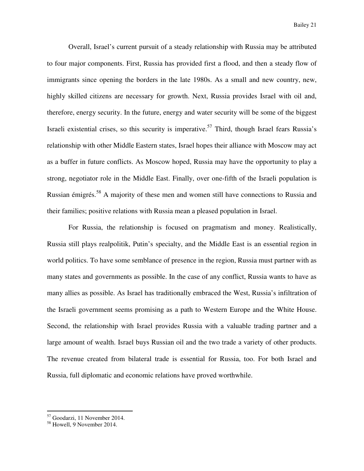Overall, Israel's current pursuit of a steady relationship with Russia may be attributed to four major components. First, Russia has provided first a flood, and then a steady flow of immigrants since opening the borders in the late 1980s. As a small and new country, new, highly skilled citizens are necessary for growth. Next, Russia provides Israel with oil and, therefore, energy security. In the future, energy and water security will be some of the biggest Israeli existential crises, so this security is imperative.<sup>57</sup> Third, though Israel fears Russia's relationship with other Middle Eastern states, Israel hopes their alliance with Moscow may act as a buffer in future conflicts. As Moscow hoped, Russia may have the opportunity to play a strong, negotiator role in the Middle East. Finally, over one-fifth of the Israeli population is Russian émigrés.<sup>58</sup> A majority of these men and women still have connections to Russia and their families; positive relations with Russia mean a pleased population in Israel.

 For Russia, the relationship is focused on pragmatism and money. Realistically, Russia still plays realpolitik, Putin's specialty, and the Middle East is an essential region in world politics. To have some semblance of presence in the region, Russia must partner with as many states and governments as possible. In the case of any conflict, Russia wants to have as many allies as possible. As Israel has traditionally embraced the West, Russia's infiltration of the Israeli government seems promising as a path to Western Europe and the White House. Second, the relationship with Israel provides Russia with a valuable trading partner and a large amount of wealth. Israel buys Russian oil and the two trade a variety of other products. The revenue created from bilateral trade is essential for Russia, too. For both Israel and Russia, full diplomatic and economic relations have proved worthwhile.

<sup>57</sup> Goodarzi, 11 November 2014.

<sup>58</sup> Howell, 9 November 2014.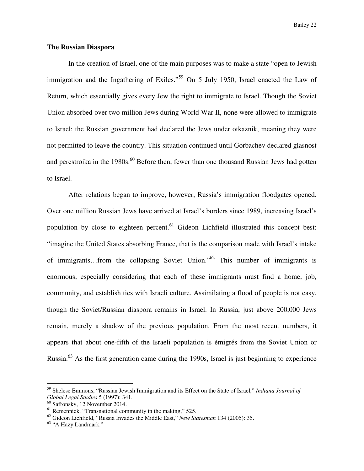Bailey 22

#### **The Russian Diaspora**

In the creation of Israel, one of the main purposes was to make a state "open to Jewish immigration and the Ingathering of Exiles."<sup>59</sup> On 5 July 1950, Israel enacted the Law of Return, which essentially gives every Jew the right to immigrate to Israel. Though the Soviet Union absorbed over two million Jews during World War II, none were allowed to immigrate to Israel; the Russian government had declared the Jews under otkaznik, meaning they were not permitted to leave the country. This situation continued until Gorbachev declared glasnost and perestroika in the  $1980s^{60}$  Before then, fewer than one thousand Russian Jews had gotten to Israel.

 After relations began to improve, however, Russia's immigration floodgates opened. Over one million Russian Jews have arrived at Israel's borders since 1989, increasing Israel's population by close to eighteen percent.<sup>61</sup> Gideon Lichfield illustrated this concept best: "imagine the United States absorbing France, that is the comparison made with Israel's intake of immigrants…from the collapsing Soviet Union."<sup>62</sup> This number of immigrants is enormous, especially considering that each of these immigrants must find a home, job, community, and establish ties with Israeli culture. Assimilating a flood of people is not easy, though the Soviet/Russian diaspora remains in Israel. In Russia, just above 200,000 Jews remain, merely a shadow of the previous population. From the most recent numbers, it appears that about one-fifth of the Israeli population is émigrés from the Soviet Union or Russia.<sup>63</sup> As the first generation came during the 1990s, Israel is just beginning to experience

<sup>59</sup> Shelese Emmons, "Russian Jewish Immigration and its Effect on the State of Israel," *Indiana Journal of Global Legal Studies* 5 (1997): 341.

<sup>60</sup> Safronsky, 12 November 2014.

 $<sup>61</sup>$  Remennick, "Transnational community in the making," 525.</sup>

<sup>62</sup> Gideon Lichfield, "Russia Invades the Middle East," *New Statesman* 134 (2005): 35.

<sup>63</sup> "A Hazy Landmark."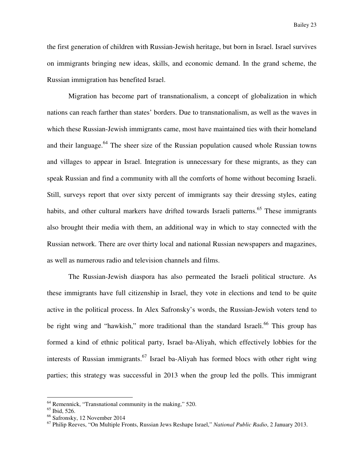the first generation of children with Russian-Jewish heritage, but born in Israel. Israel survives on immigrants bringing new ideas, skills, and economic demand. In the grand scheme, the Russian immigration has benefited Israel.

 Migration has become part of transnationalism, a concept of globalization in which nations can reach farther than states' borders. Due to transnationalism, as well as the waves in which these Russian-Jewish immigrants came, most have maintained ties with their homeland and their language.<sup>64</sup> The sheer size of the Russian population caused whole Russian towns and villages to appear in Israel. Integration is unnecessary for these migrants, as they can speak Russian and find a community with all the comforts of home without becoming Israeli. Still, surveys report that over sixty percent of immigrants say their dressing styles, eating habits, and other cultural markers have drifted towards Israeli patterns.<sup>65</sup> These immigrants also brought their media with them, an additional way in which to stay connected with the Russian network. There are over thirty local and national Russian newspapers and magazines, as well as numerous radio and television channels and films.

 The Russian-Jewish diaspora has also permeated the Israeli political structure. As these immigrants have full citizenship in Israel, they vote in elections and tend to be quite active in the political process. In Alex Safronsky's words, the Russian-Jewish voters tend to be right wing and "hawkish," more traditional than the standard Israeli.<sup>66</sup> This group has formed a kind of ethnic political party, Israel ba-Aliyah, which effectively lobbies for the interests of Russian immigrants.<sup>67</sup> Israel ba-Aliyah has formed blocs with other right wing parties; this strategy was successful in 2013 when the group led the polls. This immigrant

 $<sup>64</sup>$  Remennick, "Transnational community in the making," 520.</sup>

<sup>65</sup> Ibid, 526.

<sup>66</sup> Safronsky, 12 November 2014

<sup>67</sup> Philip Reeves, "On Multiple Fronts, Russian Jews Reshape Israel," *National Public Radio*, 2 January 2013.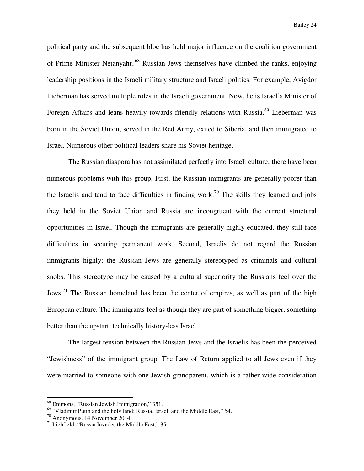political party and the subsequent bloc has held major influence on the coalition government of Prime Minister Netanyahu.<sup>68</sup> Russian Jews themselves have climbed the ranks, enjoying leadership positions in the Israeli military structure and Israeli politics. For example, Avigdor Lieberman has served multiple roles in the Israeli government. Now, he is Israel's Minister of Foreign Affairs and leans heavily towards friendly relations with Russia.<sup>69</sup> Lieberman was born in the Soviet Union, served in the Red Army, exiled to Siberia, and then immigrated to Israel. Numerous other political leaders share his Soviet heritage.

 The Russian diaspora has not assimilated perfectly into Israeli culture; there have been numerous problems with this group. First, the Russian immigrants are generally poorer than the Israelis and tend to face difficulties in finding work.<sup>70</sup> The skills they learned and jobs they held in the Soviet Union and Russia are incongruent with the current structural opportunities in Israel. Though the immigrants are generally highly educated, they still face difficulties in securing permanent work. Second, Israelis do not regard the Russian immigrants highly; the Russian Jews are generally stereotyped as criminals and cultural snobs. This stereotype may be caused by a cultural superiority the Russians feel over the Jews.<sup>71</sup> The Russian homeland has been the center of empires, as well as part of the high European culture. The immigrants feel as though they are part of something bigger, something better than the upstart, technically history-less Israel.

 The largest tension between the Russian Jews and the Israelis has been the perceived "Jewishness" of the immigrant group. The Law of Return applied to all Jews even if they were married to someone with one Jewish grandparent, which is a rather wide consideration

<sup>68</sup> Emmons, "Russian Jewish Immigration," 351.

<sup>&</sup>lt;sup>69</sup> "Vladimir Putin and the holy land: Russia, Israel, and the Middle East," 54.

<sup>70</sup> Anonymous, 14 November 2014.

 $71$  Lichfield, "Russia Invades the Middle East," 35.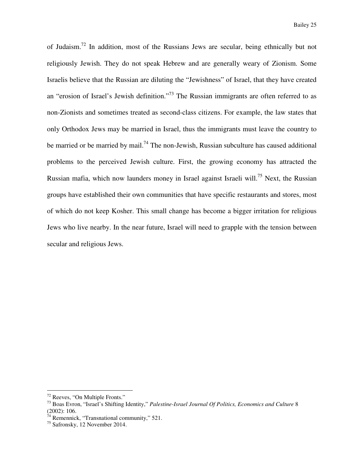of Judaism.<sup>72</sup> In addition, most of the Russians Jews are secular, being ethnically but not religiously Jewish. They do not speak Hebrew and are generally weary of Zionism. Some Israelis believe that the Russian are diluting the "Jewishness" of Israel, that they have created an "erosion of Israel's Jewish definition."<sup>73</sup> The Russian immigrants are often referred to as non-Zionists and sometimes treated as second-class citizens. For example, the law states that only Orthodox Jews may be married in Israel, thus the immigrants must leave the country to be married or be married by mail.<sup>74</sup> The non-Jewish, Russian subculture has caused additional problems to the perceived Jewish culture. First, the growing economy has attracted the Russian mafia, which now launders money in Israel against Israeli will.<sup>75</sup> Next, the Russian groups have established their own communities that have specific restaurants and stores, most of which do not keep Kosher. This small change has become a bigger irritation for religious Jews who live nearby. In the near future, Israel will need to grapple with the tension between secular and religious Jews.

<sup>&</sup>lt;sup>72</sup> Reeves, "On Multiple Fronts."

<sup>73</sup> Boas Evron, "Israel's Shifting Identity," *Palestine-Israel Journal Of Politics, Economics and Culture* 8 (2002): 106.

 $7<sup>4</sup>$  Remennick, "Transnational community," 521.

<sup>75</sup> Safronsky, 12 November 2014.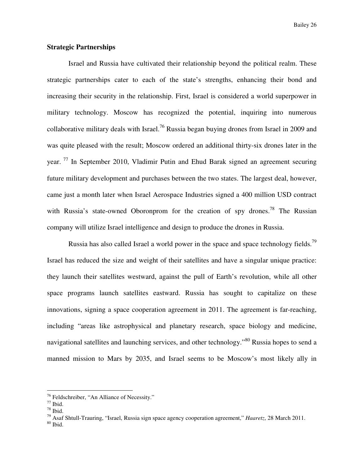#### **Strategic Partnerships**

Israel and Russia have cultivated their relationship beyond the political realm. These strategic partnerships cater to each of the state's strengths, enhancing their bond and increasing their security in the relationship. First, Israel is considered a world superpower in military technology. Moscow has recognized the potential, inquiring into numerous collaborative military deals with Israel.<sup>76</sup> Russia began buying drones from Israel in 2009 and was quite pleased with the result; Moscow ordered an additional thirty-six drones later in the year.  $^{77}$  In September 2010, Vladimir Putin and Ehud Barak signed an agreement securing future military development and purchases between the two states. The largest deal, however, came just a month later when Israel Aerospace Industries signed a 400 million USD contract with Russia's state-owned Oboronprom for the creation of spy drones.<sup>78</sup> The Russian company will utilize Israel intelligence and design to produce the drones in Russia.

Russia has also called Israel a world power in the space and space technology fields.<sup>79</sup> Israel has reduced the size and weight of their satellites and have a singular unique practice: they launch their satellites westward, against the pull of Earth's revolution, while all other space programs launch satellites eastward. Russia has sought to capitalize on these innovations, signing a space cooperation agreement in 2011. The agreement is far-reaching, including "areas like astrophysical and planetary research, space biology and medicine, navigational satellites and launching services, and other technology."<sup>80</sup> Russia hopes to send a manned mission to Mars by 2035, and Israel seems to be Moscow's most likely ally in

<sup>76</sup> Feldschreiber, "An Alliance of Necessity."

 $^{77}$  Ibid.

<sup>78</sup> Ibid.

<sup>79</sup> Asaf Shtull-Trauring, "Israel, Russia sign space agency cooperation agreement," *Haaretz*, 28 March 2011.

 $\,$  80 Ibid.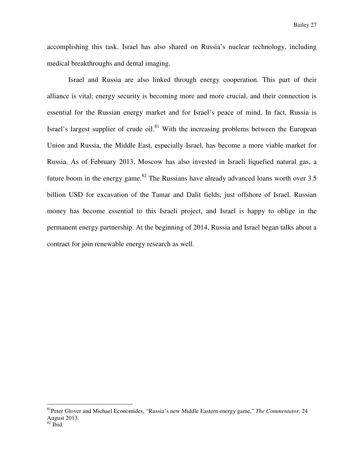accomplishing this task. Israel has also shared on Russia's nuclear technology, including medical breakthroughs and dental imaging.

 Israel and Russia are also linked through energy cooperation. This part of their alliance is vital; energy security is becoming more and more crucial, and their connection is essential for the Russian energy market and for Israel's peace of mind. In fact, Russia is Israel's largest supplier of crude oil. $81$  With the increasing problems between the European Union and Russia, the Middle East, especially Israel, has become a more viable market for Russia. As of February 2013, Moscow has also invested in Israeli liquefied natural gas, a future boom in the energy game.<sup>82</sup> The Russians have already advanced loans worth over 3.5 billion USD for excavation of the Tamar and Dalit fields, just offshore of Israel. Russian money has become essential to this Israeli project, and Israel is happy to oblige in the permanent energy partnership. At the beginning of 2014, Russia and Israel began talks about a contract for join renewable energy research as well.

<sup>81</sup>Peter Glover and Michael Economides, "Russia's new Middle Eastern energy game," *The Commentator*, 24 August 2013.

 $82$  Ibid.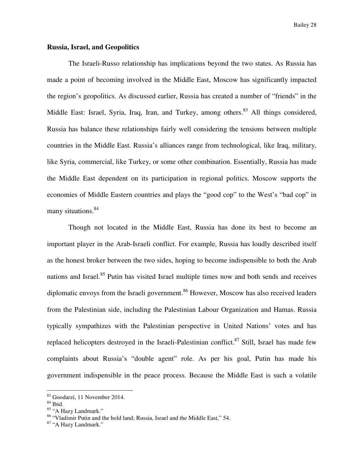#### **Russia, Israel, and Geopolitics**

The Israeli-Russo relationship has implications beyond the two states. As Russia has made a point of becoming involved in the Middle East, Moscow has significantly impacted the region's geopolitics. As discussed earlier, Russia has created a number of "friends" in the Middle East: Israel, Syria, Iraq, Iran, and Turkey, among others.<sup>83</sup> All things considered, Russia has balance these relationships fairly well considering the tensions between multiple countries in the Middle East. Russia's alliances range from technological, like Iraq, military, like Syria, commercial, like Turkey, or some other combination. Essentially, Russia has made the Middle East dependent on its participation in regional politics. Moscow supports the economies of Middle Eastern countries and plays the "good cop" to the West's "bad cop" in many situations.<sup>84</sup>

 Though not located in the Middle East, Russia has done its best to become an important player in the Arab-Israeli conflict. For example, Russia has loudly described itself as the honest broker between the two sides, hoping to become indispensible to both the Arab nations and Israel.<sup>85</sup> Putin has visited Israel multiple times now and both sends and receives diplomatic envoys from the Israeli government.<sup>86</sup> However, Moscow has also received leaders from the Palestinian side, including the Palestinian Labour Organization and Hamas. Russia typically sympathizes with the Palestinian perspective in United Nations' votes and has replaced helicopters destroyed in the Israeli-Palestinian conflict.<sup>87</sup> Still, Israel has made few complaints about Russia's "double agent" role. As per his goal, Putin has made his government indispensible in the peace process. Because the Middle East is such a volatile

<sup>83</sup> Goodarzi, 11 November 2014.

<sup>84</sup> Ibid.

<sup>85 &</sup>quot;A Hazy Landmark."

<sup>86</sup> "Vladimir Putin and the hold land; Russia, Israel and the Middle East," 54.

<sup>87 &</sup>quot;A Hazy Landmark."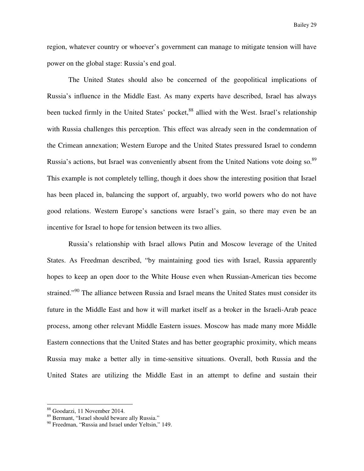region, whatever country or whoever's government can manage to mitigate tension will have power on the global stage: Russia's end goal.

 The United States should also be concerned of the geopolitical implications of Russia's influence in the Middle East. As many experts have described, Israel has always been tucked firmly in the United States' pocket,<sup>88</sup> allied with the West. Israel's relationship with Russia challenges this perception. This effect was already seen in the condemnation of the Crimean annexation; Western Europe and the United States pressured Israel to condemn Russia's actions, but Israel was conveniently absent from the United Nations vote doing so.<sup>89</sup> This example is not completely telling, though it does show the interesting position that Israel has been placed in, balancing the support of, arguably, two world powers who do not have good relations. Western Europe's sanctions were Israel's gain, so there may even be an incentive for Israel to hope for tension between its two allies.

 Russia's relationship with Israel allows Putin and Moscow leverage of the United States. As Freedman described, "by maintaining good ties with Israel, Russia apparently hopes to keep an open door to the White House even when Russian-American ties become strained."<sup>90</sup> The alliance between Russia and Israel means the United States must consider its future in the Middle East and how it will market itself as a broker in the Israeli-Arab peace process, among other relevant Middle Eastern issues. Moscow has made many more Middle Eastern connections that the United States and has better geographic proximity, which means Russia may make a better ally in time-sensitive situations. Overall, both Russia and the United States are utilizing the Middle East in an attempt to define and sustain their

<sup>88</sup> Goodarzi, 11 November 2014.

<sup>89</sup> Bermant, "Israel should beware ally Russia."

<sup>&</sup>lt;sup>90</sup> Freedman, "Russia and Israel under Yeltsin," 149.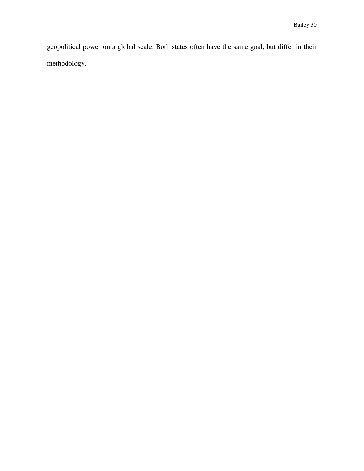geopolitical power on a global scale. Both states often have the same goal, but differ in their methodology.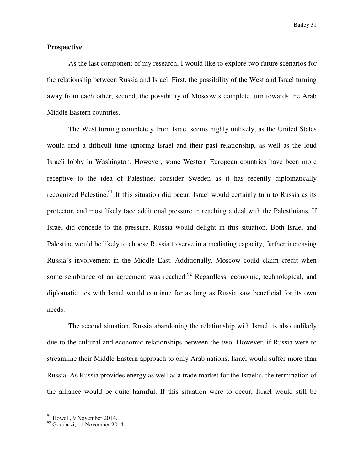Bailey 31

#### **Prospective**

As the last component of my research, I would like to explore two future scenarios for the relationship between Russia and Israel. First, the possibility of the West and Israel turning away from each other; second, the possibility of Moscow's complete turn towards the Arab Middle Eastern countries.

 The West turning completely from Israel seems highly unlikely, as the United States would find a difficult time ignoring Israel and their past relationship, as well as the loud Israeli lobby in Washington. However, some Western European countries have been more receptive to the idea of Palestine; consider Sweden as it has recently diplomatically recognized Palestine.<sup>91</sup> If this situation did occur, Israel would certainly turn to Russia as its protector, and most likely face additional pressure in reaching a deal with the Palestinians. If Israel did concede to the pressure, Russia would delight in this situation. Both Israel and Palestine would be likely to choose Russia to serve in a mediating capacity, further increasing Russia's involvement in the Middle East. Additionally, Moscow could claim credit when some semblance of an agreement was reached.<sup>92</sup> Regardless, economic, technological, and diplomatic ties with Israel would continue for as long as Russia saw beneficial for its own needs.

 The second situation, Russia abandoning the relationship with Israel, is also unlikely due to the cultural and economic relationships between the two. However, if Russia were to streamline their Middle Eastern approach to only Arab nations, Israel would suffer more than Russia. As Russia provides energy as well as a trade market for the Israelis, the termination of the alliance would be quite harmful. If this situation were to occur, Israel would still be

 $91$  Howell, 9 November 2014.

<sup>92</sup> Goodarzi, 11 November 2014.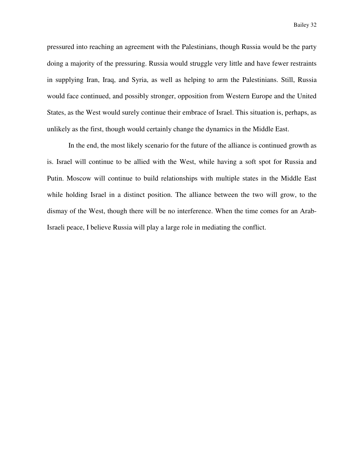pressured into reaching an agreement with the Palestinians, though Russia would be the party doing a majority of the pressuring. Russia would struggle very little and have fewer restraints in supplying Iran, Iraq, and Syria, as well as helping to arm the Palestinians. Still, Russia would face continued, and possibly stronger, opposition from Western Europe and the United States, as the West would surely continue their embrace of Israel. This situation is, perhaps, as unlikely as the first, though would certainly change the dynamics in the Middle East.

 In the end, the most likely scenario for the future of the alliance is continued growth as is. Israel will continue to be allied with the West, while having a soft spot for Russia and Putin. Moscow will continue to build relationships with multiple states in the Middle East while holding Israel in a distinct position. The alliance between the two will grow, to the dismay of the West, though there will be no interference. When the time comes for an Arab-Israeli peace, I believe Russia will play a large role in mediating the conflict.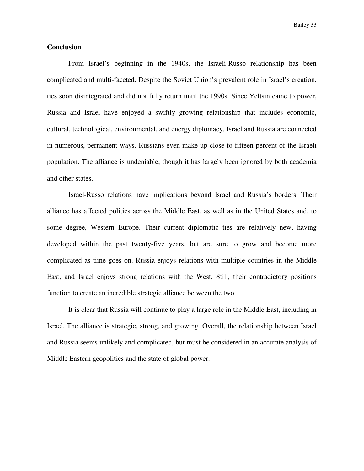Bailey 33

#### **Conclusion**

 From Israel's beginning in the 1940s, the Israeli-Russo relationship has been complicated and multi-faceted. Despite the Soviet Union's prevalent role in Israel's creation, ties soon disintegrated and did not fully return until the 1990s. Since Yeltsin came to power, Russia and Israel have enjoyed a swiftly growing relationship that includes economic, cultural, technological, environmental, and energy diplomacy. Israel and Russia are connected in numerous, permanent ways. Russians even make up close to fifteen percent of the Israeli population. The alliance is undeniable, though it has largely been ignored by both academia and other states.

Israel-Russo relations have implications beyond Israel and Russia's borders. Their alliance has affected politics across the Middle East, as well as in the United States and, to some degree, Western Europe. Their current diplomatic ties are relatively new, having developed within the past twenty-five years, but are sure to grow and become more complicated as time goes on. Russia enjoys relations with multiple countries in the Middle East, and Israel enjoys strong relations with the West. Still, their contradictory positions function to create an incredible strategic alliance between the two.

It is clear that Russia will continue to play a large role in the Middle East, including in Israel. The alliance is strategic, strong, and growing. Overall, the relationship between Israel and Russia seems unlikely and complicated, but must be considered in an accurate analysis of Middle Eastern geopolitics and the state of global power.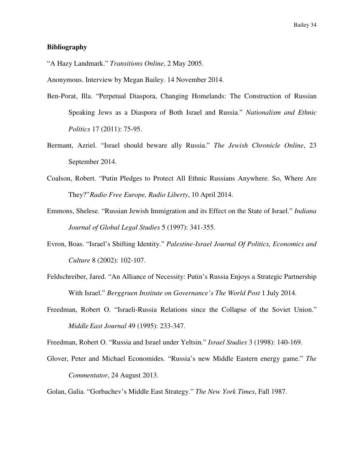#### **Bibliography**

"A Hazy Landmark." *Transitions Online*, 2 May 2005.

Anonymous. Interview by Megan Bailey. 14 November 2014.

- Ben-Porat, Illa. "Perpetual Diaspora, Changing Homelands: The Construction of Russian Speaking Jews as a Diaspora of Both Israel and Russia." *Nationalism and Ethnic Politics* 17 (2011): 75-95.
- Bermant, Azriel. "Israel should beware ally Russia." *The Jewish Chronicle Online*, 23 September 2014.
- Coalson, Robert. "Putin Pledges to Protect All Ethnic Russians Anywhere. So, Where Are They?" *Radio Free Europe, Radio Liberty*, 10 April 2014.
- Emmons, Shelese. "Russian Jewish Immigration and its Effect on the State of Israel." *Indiana Journal of Global Legal Studies* 5 (1997): 341-355.
- Evron, Boas. "Israel's Shifting Identity." *Palestine-Israel Journal Of Politics, Economics and Culture* 8 (2002): 102-107.
- Feldschreiber, Jared. "An Alliance of Necessity: Putin's Russia Enjoys a Strategic Partnership With Israel." *Berggruen Institute on Governance's The World Post* 1 July 2014.
- Freedman, Robert O. "Israeli-Russia Relations since the Collapse of the Soviet Union." *Middle East Journal* 49 (1995): 233-347.

Freedman, Robert O. "Russia and Israel under Yeltsin." *Israel Studies* 3 (1998): 140-169.

Glover, Peter and Michael Economides. "Russia's new Middle Eastern energy game." *The Commentator*, 24 August 2013.

Golan, Galia. "Gorbachev's Middle East Strategy." *The New York Times*, Fall 1987.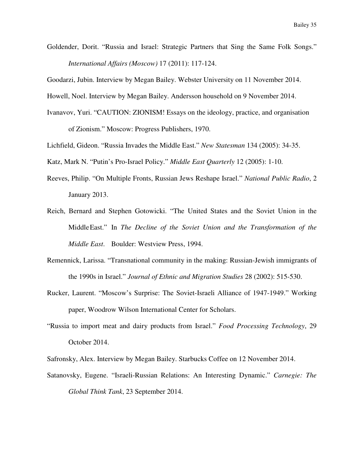Goldender, Dorit. "Russia and Israel: Strategic Partners that Sing the Same Folk Songs." *International Affairs (Moscow)* 17 (2011): 117-124.

Goodarzi, Jubin. Interview by Megan Bailey. Webster University on 11 November 2014.

Howell, Noel. Interview by Megan Bailey. Andersson household on 9 November 2014.

- Ivanavov, Yuri. "CAUTION: ZIONISM! Essays on the ideology, practice, and organisation of Zionism." Moscow: Progress Publishers, 1970.
- Lichfield, Gideon. "Russia Invades the Middle East." *New Statesman* 134 (2005): 34-35.
- Katz, Mark N. "Putin's Pro-Israel Policy." *Middle East Quarterly* 12 (2005): 1-10.
- Reeves, Philip. "On Multiple Fronts, Russian Jews Reshape Israel." *National Public Radio*, 2 January 2013.
- Reich, Bernard and Stephen Gotowicki. "The United States and the Soviet Union in the Middle East." In *The Decline of the Soviet Union and the Transformation of the Middle East*. Boulder: Westview Press, 1994.
- Remennick, Larissa. "Transnational community in the making: Russian-Jewish immigrants of the 1990s in Israel." *Journal of Ethnic and Migration Studies* 28 (2002): 515-530.
- Rucker, Laurent. "Moscow's Surprise: The Soviet-Israeli Alliance of 1947-1949." Working paper, Woodrow Wilson International Center for Scholars.
- "Russia to import meat and dairy products from Israel." *Food Processing Technology*, 29 October 2014.
- Safronsky, Alex. Interview by Megan Bailey. Starbucks Coffee on 12 November 2014.
- Satanovsky, Eugene. "Israeli-Russian Relations: An Interesting Dynamic." *Carnegie: The Global Think Tank*, 23 September 2014.